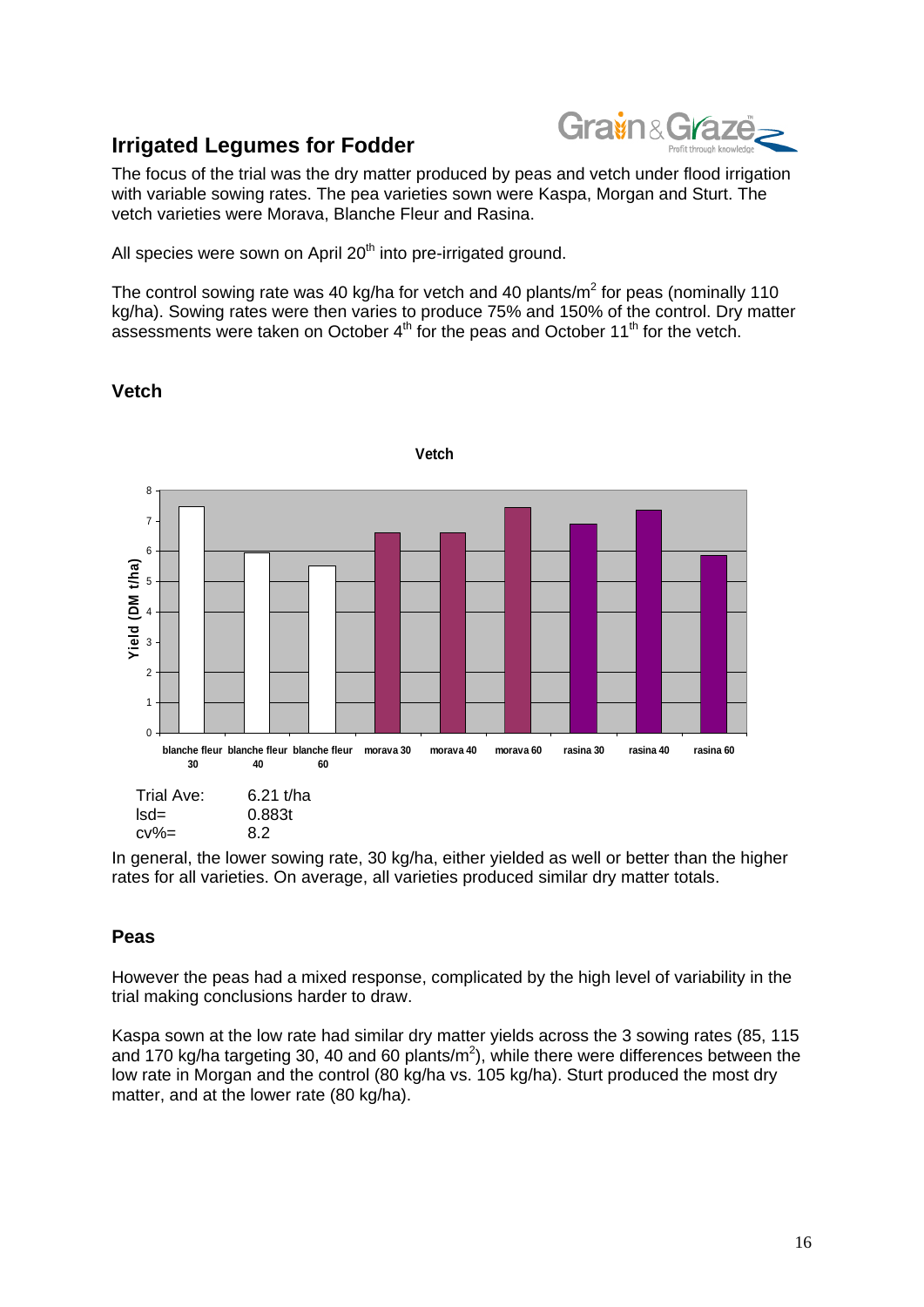

## **Irrigated Legumes for Fodder**

The focus of the trial was the dry matter produced by peas and vetch under flood irrigation with variable sowing rates. The pea varieties sown were Kaspa, Morgan and Sturt. The vetch varieties were Morava, Blanche Fleur and Rasina.

All species were sown on April 20<sup>th</sup> into pre-irrigated ground.

The control sowing rate was 40 kg/ha for vetch and 40 plants/ $m^2$  for peas (nominally 110 kg/ha). Sowing rates were then varies to produce 75% and 150% of the control. Dry matter assessments were taken on October  $4<sup>th</sup>$  for the peas and October  $11<sup>th</sup>$  for the vetch.



**Vetch** 

In general, the lower sowing rate, 30 kg/ha, either yielded as well or better than the higher rates for all varieties. On average, all varieties produced similar dry matter totals.

## **Peas**

However the peas had a mixed response, complicated by the high level of variability in the trial making conclusions harder to draw.

Kaspa sown at the low rate had similar dry matter yields across the 3 sowing rates (85, 115 and 170 kg/ha targeting 30, 40 and 60 plants/ $m^2$ ), while there were differences between the low rate in Morgan and the control (80 kg/ha vs. 105 kg/ha). Sturt produced the most dry matter, and at the lower rate (80 kg/ha).